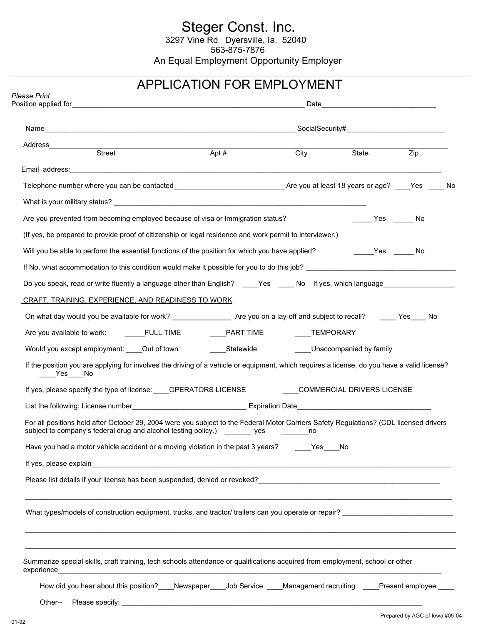# Steger Const. Inc.<br>3297 Vine Rd Dyersville, Ia. 52040 563-875-7876 An Equal Employment Opportunity Employer

## APPLICATION FOR EMPLOYMENT

|                                                                                                                                                                                                                                | Apt $#$ |     | City State | $\overline{Zip}$ |
|--------------------------------------------------------------------------------------------------------------------------------------------------------------------------------------------------------------------------------|---------|-----|------------|------------------|
|                                                                                                                                                                                                                                |         |     |            |                  |
|                                                                                                                                                                                                                                |         |     |            |                  |
|                                                                                                                                                                                                                                |         |     |            |                  |
| Are you prevented from becoming employed because of visa or Immigration status?                                                                                                                                                |         |     | Yes No     |                  |
| (If yes, be prepared to provide proof of citizenship or legal residence and work permit to interviewer.)                                                                                                                       |         |     |            |                  |
| Will you be able to perform the essential functions of the position for which you have applied?                                                                                                                                |         |     | Yes No     |                  |
| If No, what accommodation to this condition would make it possible for you to do this job? Letter and the material condition of the state of the state of the state of the state of the state of the state of the state of the |         |     |            |                  |
| Do you speak, read or write fluently a language other than English? ____Yes ____No lf yes, which language_____________                                                                                                         |         |     |            |                  |
| CRAFT, TRAINING, EXPERIENCE, AND READINESS TO WORK                                                                                                                                                                             |         |     |            |                  |
| On what day would you be available for work? _______________________ Are you on a lay-off and subject to recall? ______ Yes_____ No                                                                                            |         |     |            |                  |
| Are you available to work: ______FULL TIME ________PART TIME ________TEMPORARY                                                                                                                                                 |         |     |            |                  |
| Would you except employment: Cout of town Communication Statewide County Chaccompanied by family                                                                                                                               |         |     |            |                  |
| If the position you are applying for involves the driving of a vehicle or equipment, which requires a license, do you have a valid license?<br>$Yes$ No                                                                        |         |     |            |                  |
| If yes, please specify the type of license: _____OPERATORS LICENSE _____________COMMERCIAL DRIVERS LICENSE                                                                                                                     |         |     |            |                  |
|                                                                                                                                                                                                                                |         |     |            |                  |
| For all positions held after October 29, 2004 were you subject to the Federal Motor Carriers Safety Regulations? (CDL licensed drivers<br>subject to company's federal drug and alcohol testing policy.) ________ yes          |         | no  |            |                  |
| Have you had a motor vehicle accident or a moving violation in the past 3 years?                                                                                                                                               |         | Yes | No         |                  |
|                                                                                                                                                                                                                                |         |     |            |                  |
|                                                                                                                                                                                                                                |         |     |            |                  |
| What types/models of construction equipment, trucks, and tractor/ trailers can you operate or repair? _________________________________                                                                                        |         |     |            |                  |
|                                                                                                                                                                                                                                |         |     |            |                  |
| Summarize special skills, craft training, tech schools attendance or qualifications acquired from employment, school or other                                                                                                  |         |     |            |                  |
| How did you hear about this position? Newspaper Job Service Management recruiting Present employee                                                                                                                             |         |     |            |                  |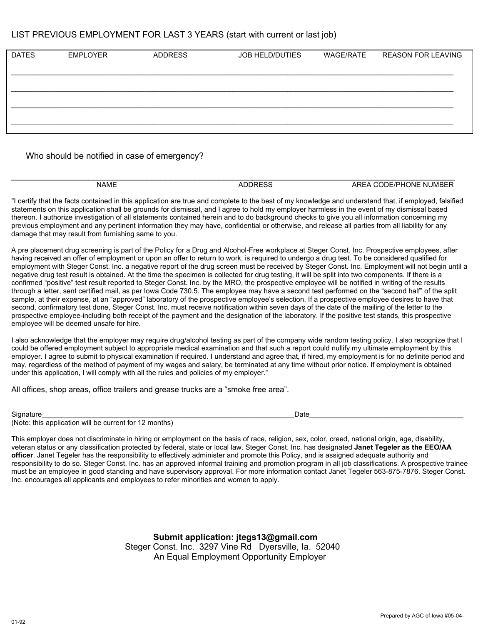#### LIST PREVIOUS EMPLOYMENT FOR LAST 3 YEARS (start with current or last job)

| <b>DATES</b> | <b>EMPLOYER</b> | <b>ADDRESS</b> | JOB HELD/DUTIES | <b>WAGE/RATE</b> | <b>REASON FOR LEAVING</b> |
|--------------|-----------------|----------------|-----------------|------------------|---------------------------|
|              |                 |                |                 |                  |                           |
|              |                 |                |                 |                  |                           |
|              |                 |                |                 |                  |                           |
|              |                 |                |                 |                  |                           |
|              |                 |                |                 |                  |                           |
|              |                 |                |                 |                  |                           |

Who should be notified in case of emergency?

| <b>NAME</b> | $-00$<br>℩∟<br>лı | <b>NUMBER</b><br>ODE/PHONE<br>⊢∧<br>. . |
|-------------|-------------------|-----------------------------------------|
|             |                   |                                         |

"I certify that the facts contained in this application are true and complete to the best of my knowledge and understand that, if employed, falsified statements on this application shall be grounds for dismissal, and I agree to hold my employer harmless in the event of my dismissal based thereon. I authorize investigation of all statements contained herein and to do background checks to give you all information concerning my previous employment and any pertinent information they may have, confidential or otherwise, and release all parties from all liability for any damage that may result from furnishing same to you.

A pre placement drug screening is part of the Policy for a Drug and Alcohol-Free workplace at Steger Const. Inc. Prospective employees, after having received an offer of employment or upon an offer to return to work, is required to undergo a drug test. To be considered qualified for employment with Steger Const. Inc. a negative report of the drug screen must be received by Steger Const. Inc. Employment will not begin until a negative drug test result is obtained. At the time the specimen is collected for drug testing, it will be split into two components. If there is a confirmed "positive" test result reported to Steger Const. Inc. by the MRO, the prospective employee will be notified in writing of the results through a letter, sent certified mail, as per Iowa Code 730.5. The employee may have a second test performed on the "second half" of the split sample, at their expense, at an "approved" laboratory of the prospective employee's selection. If a prospective employee desires to have that second, confirmatory test done, Steger Const. Inc. must receive notification within seven days of the date of the mailing of the letter to the prospective employee-including both receipt of the payment and the designation of the laboratory. If the positive test stands, this prospective employee will be deemed unsafe for hire.

I also acknowledge that the employer may require drug/alcohol testing as part of the company wide random testing policy. I also recognize that I could be offered employment subject to appropriate medical examination and that such a report could nullify my ultimate employment by this employer. I agree to submit to physical examination if required. I understand and agree that, if hired, my employment is for no definite period and may, regardless of the method of payment of my wages and salary, be terminated at any time without prior notice. If employment is obtained under this application, I will comply with all the rules and policies of my employer."

All offices, shop areas, office trailers and grease trucks are a "smoke free area".

Signature\_\_\_\_\_\_\_\_\_\_\_\_\_\_\_\_\_\_\_\_\_\_\_\_\_\_\_\_\_\_\_\_\_\_\_\_\_\_\_\_\_\_\_\_\_\_\_\_\_\_\_\_\_\_\_\_\_\_\_\_\_\_\_\_Date\_\_\_\_\_\_\_\_\_\_\_\_\_\_\_\_\_\_\_\_\_\_\_\_\_\_\_\_\_\_\_\_\_\_\_\_\_\_\_

(Note: this application will be current for 12 months)

This employer does not discriminate in hiring or employment on the basis of race, religion, sex, color, creed, national origin, age, disability, veteran status or any classification protected by federal, state or local law. Steger Const. Inc. has designated **Janet Tegeler as the EEO/AA officer**. Janet Tegeler has the responsibility to effectively administer and promote this Policy, and is assigned adequate authority and responsibility to do so. Steger Const. Inc. has an approved informal training and promotion program in all job classifications. A prospective trainee must be an employee in good standing and have supervisory approval. For more information contact Janet Tegeler 563-875-7876. Steger Const. Inc. encourages all applicants and employees to refer minorities and women to apply.

> **Submit application: jtegs13@gmail.com** Steger Const. Inc. 3297 Vine Rd Dyersville, Ia. 52040 An Equal Employment Opportunity Employer